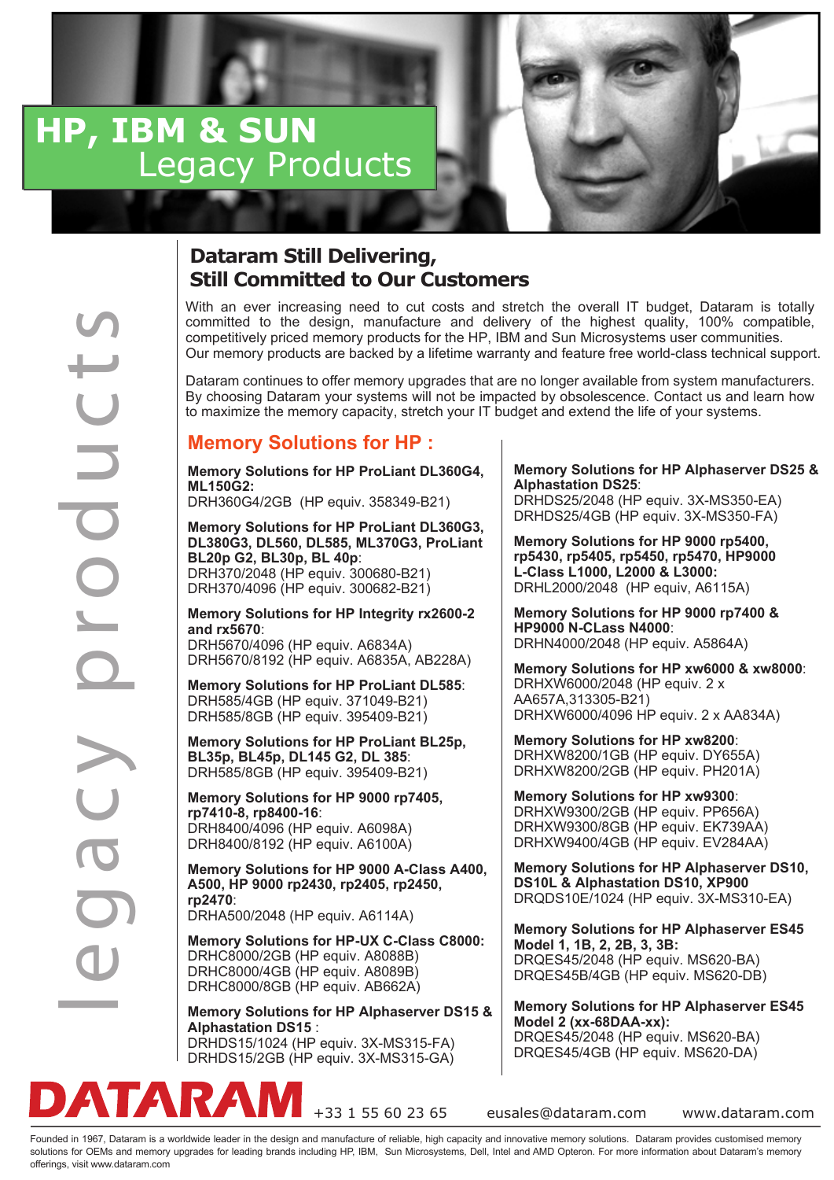# **HP, IBM & SUN Legacy Products**

## **Dataram Still Delivering, Still Committed to Our Customers**

offering and the total of the state of the budget and the budget and the state would be the cut costs and the state would be the cut costs and the state of the overall and the state of the overall and the state of the ove committed to the design, manufacture and delivery of the highest quality, 100% compatible, competitively priced memory products for the HP, IBM and Sun Microsystems user communities. Our memory products are backed by a lifetime warranty and feature free world-class technical support.

Dataram continues to offer memory upgrades that are no longer available from system manufacturers. By choosing Dataram your systems will not be impacted by obsolescence. Contact us and learn how to maximize the memory capacity, stretch your IT budget and extend the life of your systems.

### **Memory Solutions for HP :**

**Memory Solutions for HP ProLiant DL360G4, ML150G2:**

DRH360G4/2GB (HP equiv. 358349-B21)

**Memory Solutions for HP ProLiant DL360G3, DL380G3, DL560, DL585, ML370G3, ProLiant BL20p G2, BL30p, BL 40p**: DRH370/2048 (HP equiv. 300680-B21) DRH370/4096 (HP equiv. 300682-B21)

**Memory Solutions for HP Integrity rx2600-2 and rx5670**: DRH5670/4096 (HP equiv. A6834A) DRH5670/8192 (HP equiv. A6835A, AB228A)

**Memory Solutions for HP ProLiant DL585**: DRH585/4GB (HP equiv. 371049-B21) DRH585/8GB (HP equiv. 395409-B21)

**Memory Solutions for HP ProLiant BL25p, BL35p, BL45p, DL145 G2, DL 385**: DRH585/8GB (HP equiv. 395409-B21)

**Memory Solutions for HP 9000 rp7405, rp7410-8, rp8400-16**: DRH8400/4096 (HP equiv. A6098A) DRH8400/8192 (HP equiv. A6100A)

**Memory Solutions for HP 9000 A-Class A400, A500, HP 9000 rp2430, rp2405, rp2450, rp2470**: DRHA500/2048 (HP equiv. A6114A)

**Memory Solutions for HP-UX C-Class C8000:** DRHC8000/2GB (HP equiv. A8088B) DRHC8000/4GB (HP equiv. A8089B) DRHC8000/8GB (HP equiv. AB662A)

**Memory Solutions for HP Alphaserver DS15 & Alphastation DS15** : DRHDS15/1024 (HP equiv. 3X-MS315-FA) DRHDS15/2GB (HP equiv. 3X-MS315-GA)

### **Memory Solutions for HP Alphaserver DS25 & Alphastation DS25**:

DRHDS25/2048 (HP equiv. 3X-MS350-EA) DRHDS25/4GB (HP equiv. 3X-MS350-FA)

**Memory Solutions for HP 9000 rp5400, rp5430, rp5405, rp5450, rp5470, HP9000 L-Class L1000, L2000 & L3000:** DRHL2000/2048 (HP equiv, A6115A)

**Memory Solutions for HP 9000 rp7400 & HP9000 N-CLass N4000**: DRHN4000/2048 (HP equiv. A5864A)

**Memory Solutions for HP xw6000 & xw8000**: DRHXW6000/2048 (HP equiv. 2 x AA657A,313305-B21) DRHXW6000/4096 HP equiv. 2 x AA834A)

**Memory Solutions for HP xw8200**: DRHXW8200/1GB (HP equiv. DY655A) DRHXW8200/2GB (HP equiv. PH201A)

**Memory Solutions for HP xw9300**: DRHXW9300/2GB (HP equiv. PP656A) DRHXW9300/8GB (HP equiv. EK739AA) DRHXW9400/4GB (HP equiv. EV284AA)

**Memory Solutions for HP Alphaserver DS10, DS10L & Alphastation DS10, XP900** DRQDS10E/1024 (HP equiv. 3X-MS310-EA)

**Memory Solutions for HP Alphaserver ES45 Model 1, 1B, 2, 2B, 3, 3B:**  DRQES45/2048 (HP equiv. MS620-BA) DRQES45B/4GB (HP equiv. MS620-DB)

**Memory Solutions for HP Alphaserver ES45 Model 2 (xx-68DAA-xx):** 

DRQES45/2048 (HP equiv. MS620-BA) DRQES45/4GB (HP equiv. MS620-DA)



+33 1 55 60 23 65 eusales@dataram.com www.dataram.com

Founded in 1967, Dataram is a worldwide leader in the design and manufacture of reliable, high capacity and innovative memory solutions. Dataram provides customised memory solutions for OEMs and memory upgrades for leading brands including HP, IBM, Sun Microsystems, Dell, Intel and AMD Opteron. For more information about Dataram's memory offerings, visit www.dataram.com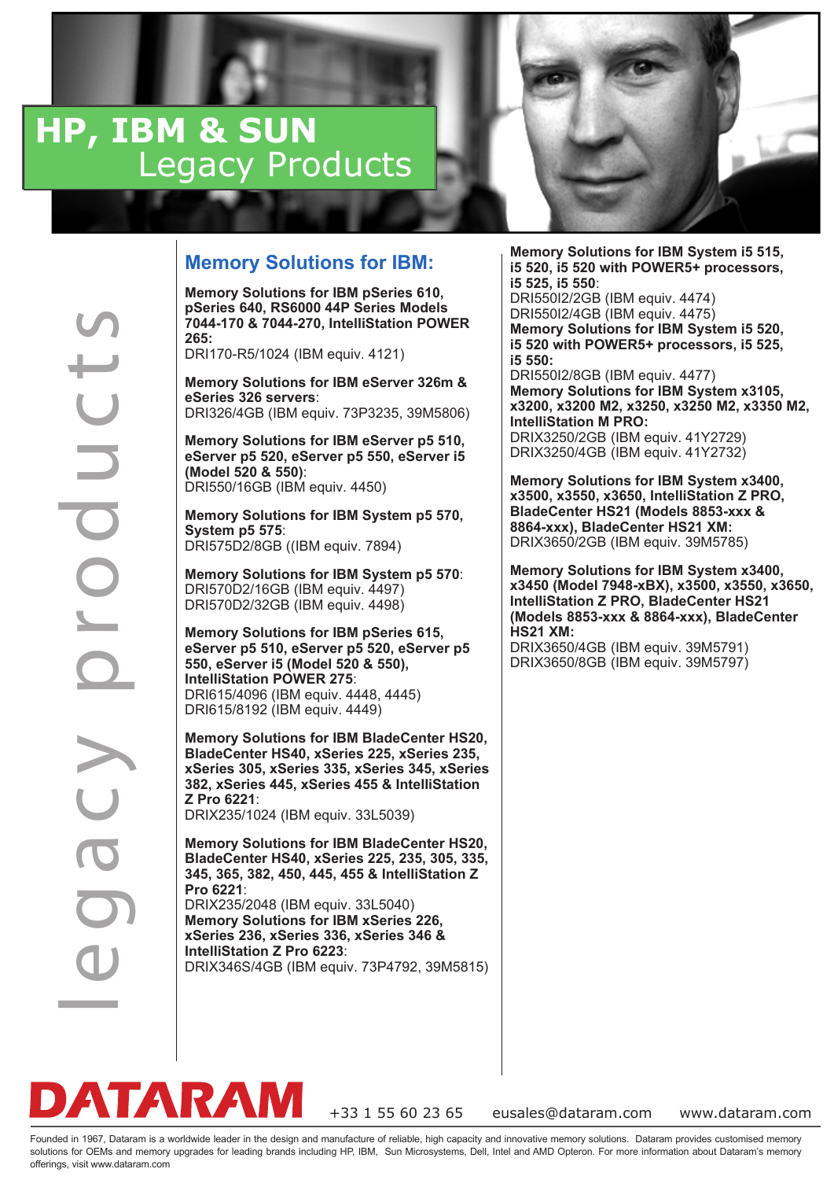# **HP, IBM & SUN Legacy Products**



**Memory Solutions for IBM pSeries 610, pSeries 640, RS6000 44P Series Models 7044-170 & 7044-270, IntelliStation POWER 265:**

DRI170-R5/1024 (IBM equiv. 4121)

**Memory Solutions for IBM eServer 326m & eSeries 326 servers**: DRI326/4GB (IBM equiv. 73P3235, 39M5806)

**Memory Solutions for IBM eServer p5 510, eServer p5 520, eServer p5 550, eServer i5 (Model 520 & 550)**: DRI550/16GB (IBM equiv. 4450)

**Memory Solutions for IBM System p5 570, System p5 575**: DRI575D2/8GB ((IBM equiv. 7894)

**Memory Solutions for IBM System p5 570**: DRI570D2/16GB (IBM equiv. 4497) DRI570D2/32GB (IBM equiv. 4498)

**Memory Solutions for IBM pSeries 615, eServer p5 510, eServer p5 520, eServer p5 550, eServer i5 (Model 520 & 550), IntelliStation POWER 275**: DRI615/4096 (IBM equiv. 4448, 4445) DRI615/8192 (IBM equiv. 4449)

**Memory Solutions for IBM BladeCenter HS20, BladeCenter HS40, xSeries 225, xSeries 235, xSeries 305, xSeries 335, xSeries 345, xSeries 382, xSeries 445, xSeries 455 & IntelliStation Z Pro 6221**: DRIX235/1024 (IBM equiv. 33L5039)

**Memory Solutions for IBM BladeCenter HS20, BladeCenter HS40, xSeries 225, 235, 305, 335, 345, 365, 382, 450, 445, 455 & IntelliStation Z Pro 6221**: DRIX235/2048 (IBM equiv. 33L5040) **Memory Solutions for IBM xSeries 226, xSeries 236, xSeries 336, xSeries 346 &** 

**IntelliStation Z Pro 6223**: DRIX346S/4GB (IBM equiv. 73P4792, 39M5815)

**Memory Solutions for IBM System i5 515, i5 520, i5 520 with POWER5+ processors, i5 525, i5 550**: DRI550I2/2GB (IBM equiv. 4474)

DRI550I2/4GB (IBM equiv. 4475) **Memory Solutions for IBM System i5 520, i5 520 with POWER5+ processors, i5 525, i5 550:**

DRI550I2/8GB (IBM equiv. 4477) **Memory Solutions for IBM System x3105, x3200, x3200 M2, x3250, x3250 M2, x3350 M2, IntelliStation M PRO:** DRIX3250/2GB (IBM equiv. 41Y2729) DRIX3250/4GB (IBM equiv. 41Y2732)

**Memory Solutions for IBM System x3400, x3500, x3550, x3650, IntelliStation Z PRO, BladeCenter HS21 (Models 8853-xxx & 8864-xxx), BladeCenter HS21 XM:** DRIX3650/2GB (IBM equiv. 39M5785)

**Memory Solutions for IBM System x3400, x3450 (Model 7948-xBX), x3500, x3550, x3650, IntelliStation Z PRO, BladeCenter HS21 (Models 8853-xxx & 8864-xxx), BladeCenter HS21 XM:**

DRIX3650/4GB (IBM equiv. 39M5791) DRIX3650/8GB (IBM equiv. 39M5797)

**DATA**<br>
Founded in 1967, Dataram is a c y product and  $\mathbf{C}$  t s C b s and memory  $\mathbf{C}$  b c c the g and  $\mathbf{C}$  to  $\mathbf{C}$  for  $\mathbf{C}$  s and  $\mathbf{C}$  and  $\mathbf{C}$  and  $\mathbf{C}$  and  $\mathbf{C}$  and  $\mathbf{C}$  and  $\mathbf{C}$ **TARAM** 

+33 1 55 60 23 65 eusales@dataram.com www.dataram.com